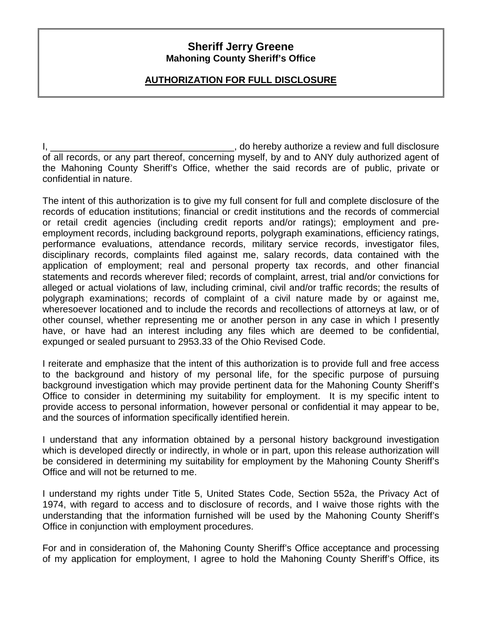## **Sheriff Jerry Greene Mahoning County Sheriff's Office**

## **AUTHORIZATION FOR FULL DISCLOSURE**

I, the contract of the contract of the contract of the contract of the contract of the contract of the contract of the contract of the contract of the contract of the contract of the contract of the contract of the contrac of all records, or any part thereof, concerning myself, by and to ANY duly authorized agent of the Mahoning County Sheriff's Office, whether the said records are of public, private or confidential in nature.

The intent of this authorization is to give my full consent for full and complete disclosure of the records of education institutions; financial or credit institutions and the records of commercial or retail credit agencies (including credit reports and/or ratings); employment and preemployment records, including background reports, polygraph examinations, efficiency ratings, performance evaluations, attendance records, military service records, investigator files, disciplinary records, complaints filed against me, salary records, data contained with the application of employment; real and personal property tax records, and other financial statements and records wherever filed; records of complaint, arrest, trial and/or convictions for alleged or actual violations of law, including criminal, civil and/or traffic records; the results of polygraph examinations; records of complaint of a civil nature made by or against me, wheresoever locationed and to include the records and recollections of attorneys at law, or of other counsel, whether representing me or another person in any case in which I presently have, or have had an interest including any files which are deemed to be confidential, expunged or sealed pursuant to 2953.33 of the Ohio Revised Code.

I reiterate and emphasize that the intent of this authorization is to provide full and free access to the background and history of my personal life, for the specific purpose of pursuing background investigation which may provide pertinent data for the Mahoning County Sheriff's Office to consider in determining my suitability for employment. It is my specific intent to provide access to personal information, however personal or confidential it may appear to be, and the sources of information specifically identified herein.

I understand that any information obtained by a personal history background investigation which is developed directly or indirectly, in whole or in part, upon this release authorization will be considered in determining my suitability for employment by the Mahoning County Sheriff's Office and will not be returned to me.

I understand my rights under Title 5, United States Code, Section 552a, the Privacy Act of 1974, with regard to access and to disclosure of records, and I waive those rights with the understanding that the information furnished will be used by the Mahoning County Sheriff's Office in conjunction with employment procedures.

For and in consideration of, the Mahoning County Sheriff's Office acceptance and processing of my application for employment, I agree to hold the Mahoning County Sheriff's Office, its